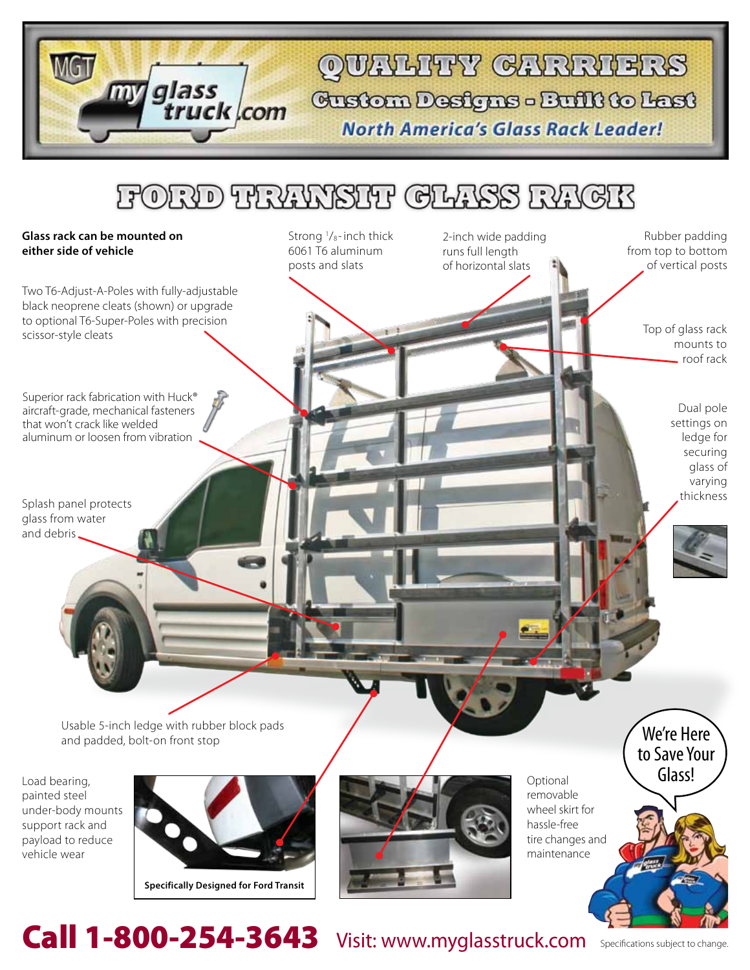QUALHEY GARRIERS Custom Designs - Built to Last

**North America's Glass Rack Leader!** 

2-inch wide padding runs full length of horizontal slats

### FORD TRAWSIT CLASS RACK

Strong 1/<sub>8</sub>-inch thick 6061 T6 aluminum posts and slats

#### **Glass rack can be mounted on either side of vehicle**

Two T6-Adjust-A-Poles with fully-adjustable black neoprene cleats (shown) or upgrade to optional T6-Super-Poles with precision scissor-style cleats Top of glass rack Top of glass rack Top of glass rack

glass

truck com

Superior rack fabrication with Huck<sup>®</sup> aircraft-grade, mechanical fasteners that won't crack like welded aluminum or loosen from vibration

Splash panel protects glass from water and debris

> Usable 5-inch ledge with rubber block pads and padded, bolt-on front stop

Load bearing, painted steel under-body mounts support rack and payload to reduce vehicle wear



**Specifically Designed for Ford Transit**



**Optional** removable wheel skirt for hassle-free tire changes and maintenance

Call 1-800-254-3643 Visit: www.myglasstruck.com Specifications subject to change.

mounts to roof rack

Rubber padding from top to bottom of vertical posts

> Dual pole settings on ledge for securing glass of varying thickness

We're Here to Save Your Glass!